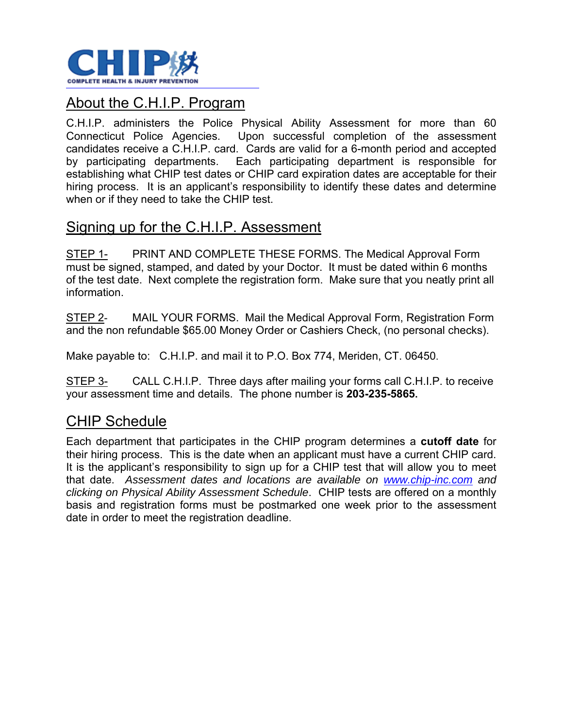

#### About the C.H.I.P. Program

C.H.I.P. administers the Police Physical Ability Assessment for more than 60 Connecticut Police Agencies. Upon successful completion of the assessment candidates receive a C.H.I.P. card. Cards are valid for a 6-month period and accepted by participating departments. Each participating department is responsible for establishing what CHIP test dates or CHIP card expiration dates are acceptable for their hiring process. It is an applicant's responsibility to identify these dates and determine when or if they need to take the CHIP test.

#### Signing up for the C.H.I.P. Assessment

STEP 1- PRINT AND COMPLETE THESE FORMS. The Medical Approval Form must be signed, stamped, and dated by your Doctor. It must be dated within 6 months of the test date. Next complete the registration form. Make sure that you neatly print all information.

STEP 2- MAIL YOUR FORMS. Mail the Medical Approval Form, Registration Form and the non refundable \$65.00 Money Order or Cashiers Check, (no personal checks).

Make payable to: C.H.I.P. and mail it to P.O. Box 774, Meriden, CT. 06450.

STEP 3- CALL C.H.I.P. Three days after mailing your forms call C.H.I.P. to receive your assessment time and details. The phone number is **203-235-5865.** 

#### CHIP Schedule

Each department that participates in the CHIP program determines a **cutoff date** for their hiring process. This is the date when an applicant must have a current CHIP card. It is the applicant's responsibility to sign up for a CHIP test that will allow you to meet that date. *Assessment dates and locations are available on www.chip-inc.com and clicking on Physical Ability Assessment Schedule*. CHIP tests are offered on a monthly basis and registration forms must be postmarked one week prior to the assessment date in order to meet the registration deadline.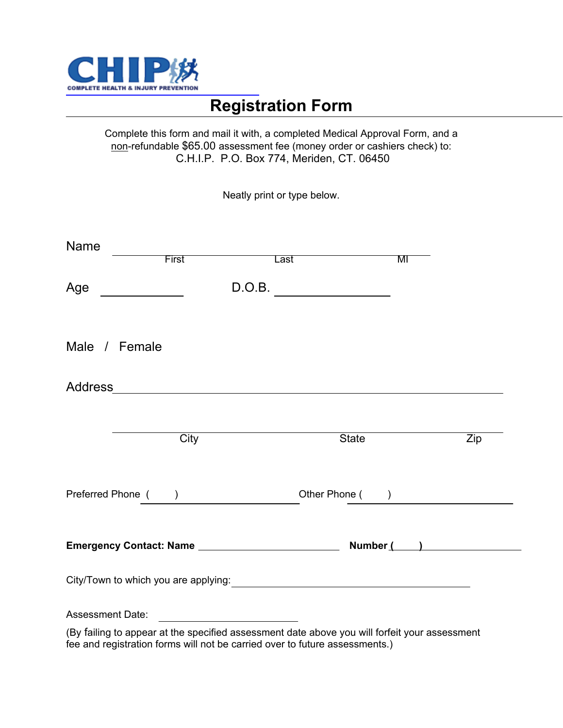

## **Registration Form**

Complete this form and mail it with, a completed Medical Approval Form, and a non-refundable \$65.00 assessment fee (money order or cashiers check) to: C.H.I.P. P.O. Box 774, Meriden, CT. 06450

Neatly print or type below.

| <b>Name</b><br><b>First</b>                                                                                                 |                                                 | Last                                                                                                                                                                         | MI             |
|-----------------------------------------------------------------------------------------------------------------------------|-------------------------------------------------|------------------------------------------------------------------------------------------------------------------------------------------------------------------------------|----------------|
| Age<br><u> 1989 - Jan Jawa Barat, prima provincia prima prima prima prima prima prima prima prima prima prima prima pri</u> |                                                 | D.O.B.                                                                                                                                                                       |                |
| Male / Female                                                                                                               |                                                 |                                                                                                                                                                              |                |
|                                                                                                                             |                                                 |                                                                                                                                                                              |                |
|                                                                                                                             | City                                            | State                                                                                                                                                                        | Zip            |
| Preferred Phone ()                                                                                                          |                                                 |                                                                                                                                                                              | Other Phone () |
|                                                                                                                             |                                                 |                                                                                                                                                                              |                |
|                                                                                                                             |                                                 |                                                                                                                                                                              |                |
| <b>Assessment Date:</b>                                                                                                     | <u> 1989 - Jan Samuel Barbara, prima popula</u> |                                                                                                                                                                              |                |
|                                                                                                                             |                                                 | (By failing to appear at the specified assessment date above you will forfeit your assessment<br>fee and registration forms will not be carried over to future assessments.) |                |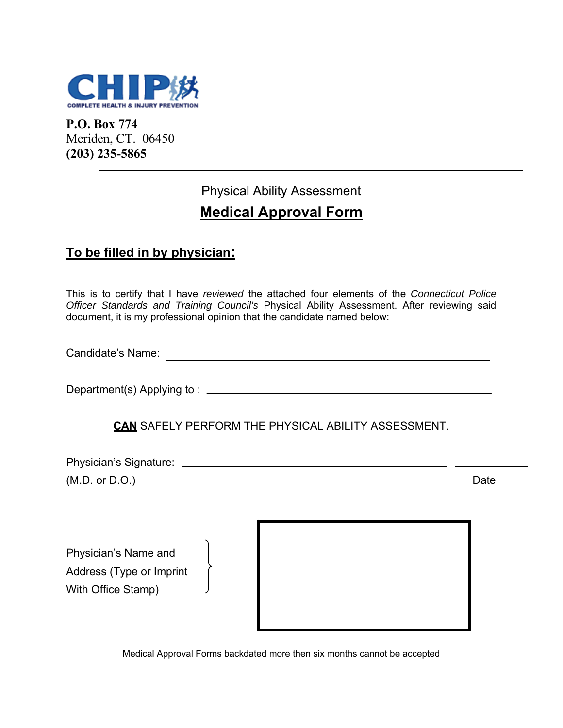

**P.O. Box 774**  Meriden, CT. 06450 **(203) 235-5865**

# Physical Ability Assessment

## **Medical Approval Form**

#### **To be filled in by physician:**

This is to certify that I have *reviewed* the attached four elements of the *Connecticut Police Officer Standards and Training Council's* Physical Ability Assessment. After reviewing said document, it is my professional opinion that the candidate named below:

Candidate's Name:

Department(s) Applying to :

#### **CAN** SAFELY PERFORM THE PHYSICAL ABILITY ASSESSMENT.

Physician's Signature: (M.D. or D.O.) Date

Physician's Name and Address (Type or Imprint With Office Stamp)



Medical Approval Forms backdated more then six months cannot be accepted